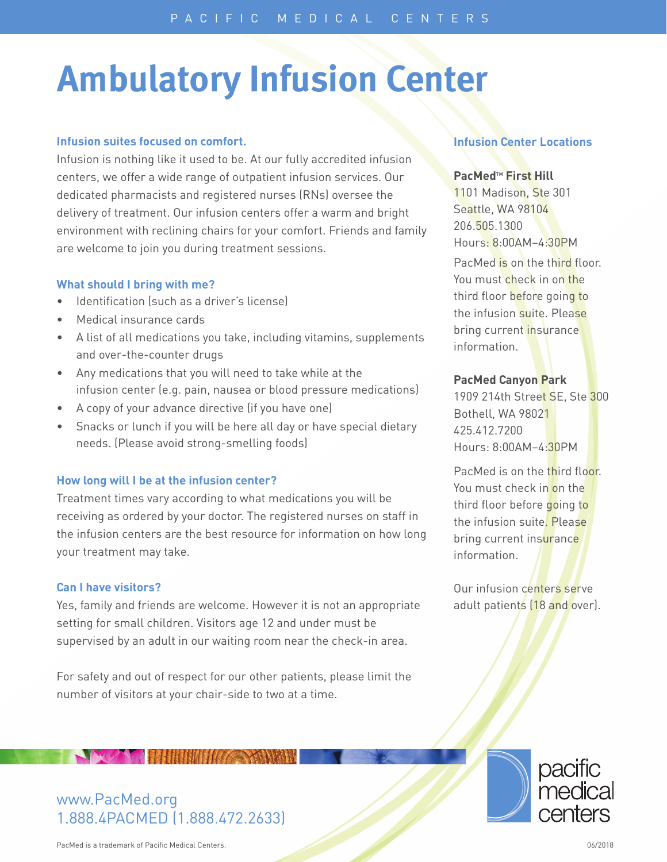# **Ambulatory Infusion Center**

## **Infusion suites focused on comfort.**

Infusion is nothing like it used to be. At our fully accredited infusion centers, we offer a wide range of outpatient infusion services. Our dedicated pharmacists and registered nurses (RNs) oversee the delivery of treatment. Our infusion centers offer a warm and bright environment with reclining chairs for your comfort. Friends and family are welcome to join you during treatment sessions.

## **What should I bring with me?**

- Identification (such as a driver's license)
- Medical insurance cards
- A list of all medications you take, including vitamins, supplements and over-the-counter drugs
- Any medications that you will need to take while at the infusion center (e.g. pain, nausea or blood pressure medications)
- A copy of your advance directive (if you have one)
- Snacks or lunch if you will be here all day or have special dietary needs. (Please avoid strong-smelling foods)

# **How long will I be at the infusion center?**

Treatment times vary according to what medications you will be receiving as ordered by your doctor. The registered nurses on staff in the infusion centers are the best resource for information on how long your treatment may take.

## **Can I have visitors?**

Yes, family and friends are welcome. However it is not an appropriate setting for small children. Visitors age 12 and under must be supervised by an adult in our waiting room near the check-in area.

For safety and out of respect for our other patients, please limit the number of visitors at your chair-side to two at a time.

# **Infusion Center Locations**

## **PacMedtm First Hill**

1101 Madison, Ste 301 Seattle, WA 98104 206.505.1300 Hours: 8:00AM–4:30PM PacMed is on the third floor. You must check in on the third floor before going to the infusion suite. Please bring current insurance information.

## **PacMed Canyon Park**

1909 214th Street SE, Ste 300 Bothell, WA 98021 425.412.7200 Hours: 8:00AM–4:30PM

PacMed is on the third floor. You must check in on the third floor before going to the infusion suite. Please bring current insurance information.

Our infusion centers serve adult patients (18 and over).



# www.PacMed.org 1.888.4PACMED (1.888.472.2633)

**WARD THE HERIODIAN AND READY** 

PacMed is a trademark of Pacific Medical Centers. 06/2018